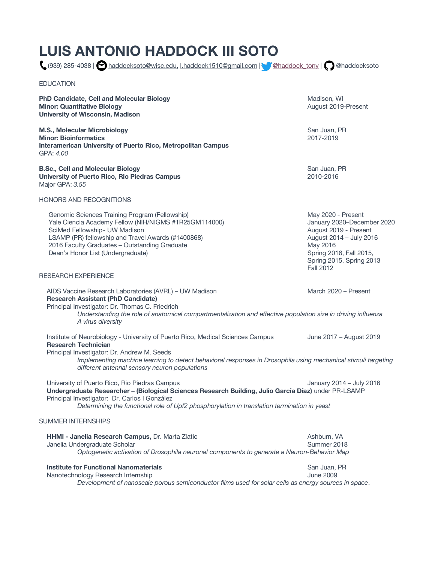# **LUIS ANTONIO HADDOCK III SOTO**

(939) 285-4038 | haddocksoto@wisc.edu, l.haddock1510@gmail.com | @haddock\_tony | @haddocksoto

EDUCATION

**PhD Candidate, Cell and Molecular Biology Madison, WI All and Madison, WI All and Madison, WI All and Molecular Biology Madison, WI All and Molecular Biology Madison, WI All and Molecular Biology Madison, WI All and Molec Minor: Quantitative Biology August 2019-Present** August 2019-Present **University of Wisconsin, Madison**

**M.S., Molecular Microbiology San Juan, PR** San Juan, PR **Minor: Bioinformatics** 2017-2019 **Interamerican University of Puerto Rico, Metropolitan Campus** GPA: *4.00*

**B.Sc., Cell and Molecular Biology**  San Juan, PR **University of Puerto Rico, Rio Piedras Campus** 2010-2016 Major GPA: *3.55*

HONORS AND RECOGNITIONS

Genomic Sciences Training Program (Fellowship) May 2020 - Present Yale Ciencia Academy Fellow (NIH/NIGMS #1R25GM114000) Varianuary 2020-December 2020 SciMed Fellowship- UW Madison **August 2019** - Present LSAMP (PR) fellowship and Travel Awards (#1400868) Channel August 2014 – July 2016 2016 Faculty Graduates – Outstanding Graduate May 2016 Dean's Honor List (Undergraduate) Spring 2016, Fall 2015,

#### RESEARCH EXPERIENCE

AIDS Vaccine Research Laboratories (AVRL) – UW Madison March 2020 – Present **Research Assistant (PhD Candidate)** Principal Investigator: Dr. Thomas C. Friedrich *Understanding the role of anatomical compartmentalization and effective population size in driving influenza A virus diversity*

Institute of Neurobiology - University of Puerto Rico, Medical Sciences Campus June 2017 – August 2019 **Research Technician**  Principal Investigator: Dr. Andrew M. Seeds *Implementing machine learning to detect behavioral responses in Drosophila using mechanical stimuli targeting different antennal sensory neuron populations* 

University of Puerto Rico, Rio Piedras Campus January 2014 – July 2016 **Undergraduate Researcher – (Biological Sciences Research Building, Julio García Díaz)** under PR-LSAMP Principal Investigator: Dr. Carlos I González

*Determining the functional role of Upf2 phosphorylation in translation termination in yeast* 

#### SUMMER INTERNSHIPS

| <b>HHMI - Janelia Research Campus, Dr. Marta Zlatic</b>                                    | Ashburn, VA |
|--------------------------------------------------------------------------------------------|-------------|
| Janelia Undergraduate Scholar                                                              | Summer 2018 |
| Optogenetic activation of Drosophila neuronal components to generate a Neuron-Behavior Map |             |
|                                                                                            |             |

# **Institute for Functional Nanomaterials San Juan, PR** San Juan, PR

*Development of nanoscale porous semiconductor films used for solar cells as energy sources in space*.

Spring 2015, Spring 2013 Fall 2012

Nanotechnology Research Internship **June 2009**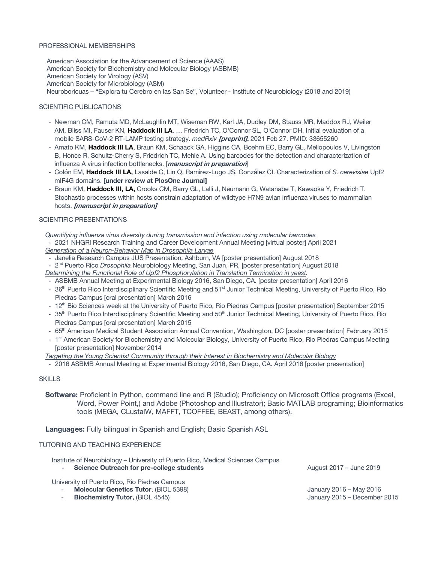#### PROFESSIONAL MEMBERSHIPS

American Association for the Advancement of Science (AAAS) American Society for Biochemistry and Molecular Biology (ASBMB) American Society for Virology (ASV) American Society for Microbiology (ASM) Neuroboricuas – "Explora tu Cerebro en las San Se", Volunteer - Institute of Neurobiology (2018 and 2019)

## SCIENTIFIC PUBLICATIONS

- Newman CM, Ramuta MD, McLaughlin MT, Wiseman RW, Karl JA, Dudley DM, Stauss MR, Maddox RJ, Weiler AM, Bliss MI, Fauser KN, **Haddock III LA**, … Friedrich TC, O'Connor SL, O'Connor DH. Initial evaluation of a mobile SARS-CoV-2 RT-LAMP testing strategy. *medRxiv* **[preprint].** 2021 Feb 27. PMID: 33655260
- Amato KM, **Haddock III LA**, Braun KM, Schaack GA, Higgins CA, Boehm EC, Barry GL, Meliopoulos V, Livingston B, Honce R, Schultz-Cherry S, Friedrich TC, Mehle A. Using barcodes for the detection and characterization of influenza A virus infection bottlenecks. [**manuscript in preparation**]
- Colón EM, **Haddock III LA,** Lasalde C, Lin Q, Ramírez-Lugo JS, González CI. Characterization of *S. cerevisiae* Upf2 mIF4G domains. **[under review at PlosOne Journal]**
- Braun KM, **Haddock III, LA,** Crooks CM, Barry GL, Lalli J, Neumann G, Watanabe T, Kawaoka Y, Friedrich T. Stochastic processes within hosts constrain adaptation of wildtype H7N9 avian influenza viruses to mammalian hosts. **[manuscript in preparation]**

### SCIENTIFIC PRESENTATIONS

*Quantifying influenza virus diversity during transmission and infection using molecular barcodes*

- 2021 NHGRI Research Training and Career Development Annual Meeting [virtual poster] April 2021 *Generation of a Neuron-Behavior Map in Drosophila Larvae*
- Janelia Research Campus JUS Presentation, Ashburn, VA [poster presentation] August 2018
- 2nd Puerto Rico *Drosophila* Neurobiology Meeting, San Juan, PR, [poster presentation] August 2018 *Determining the Functional Role of Upf2 Phosphorylation in Translation Termination in yeast.*
- ASBMB Annual Meeting at Experimental Biology 2016, San Diego, CA. [poster presentation] April 2016
- 36<sup>th</sup> Puerto Rico Interdisciplinary Scientific Meeting and 51<sup>st</sup> Junior Technical Meeting, University of Puerto Rico, Rio Piedras Campus [oral presentation] March 2016
- 12<sup>th</sup> Bio Sciences week at the University of Puerto Rico, Rio Piedras Campus [poster presentation] September 2015
- 35<sup>th</sup> Puerto Rico Interdisciplinary Scientific Meeting and 50<sup>th</sup> Junior Technical Meeting, University of Puerto Rico, Rio Piedras Campus [oral presentation] March 2015
- 65<sup>th</sup> American Medical Student Association Annual Convention, Washington, DC [poster presentation] February 2015
- 1<sup>st</sup> American Society for Biochemistry and Molecular Biology, University of Puerto Rico, Rio Piedras Campus Meeting [poster presentation] November 2014

*Targeting the Young Scientist Community through their Interest in Biochemistry and Molecular Biology*

- 2016 ASBMB Annual Meeting at Experimental Biology 2016, San Diego, CA. April 2016 [poster presentation]

# **SKILLS**

**Software:** Proficient in Python, command line and R (Studio); Proficiency on Microsoft Office programs (Excel, Word, Power Point,) and Adobe (Photoshop and Illustrator); Basic MATLAB programing; Bioinformatics tools (MEGA, CLustalW, MAFFT, TCOFFEE, BEAST, among others).

**Languages:** Fully bilingual in Spanish and English; Basic Spanish ASL

#### TUTORING AND TEACHING EXPERIENCE

Institute of Neurobiology – University of Puerto Rico, Medical Sciences Campus **Science Outreach for pre-college students** August 2017 – June 2019

University of Puerto Rico, Rio Piedras Campus

- 
- **Molecular Genetics Tutor**, (BIOL 5398) January 2016 May 2016 - **Biochemistry Tutor,** (BIOL 4545) January 2015 – December 2015